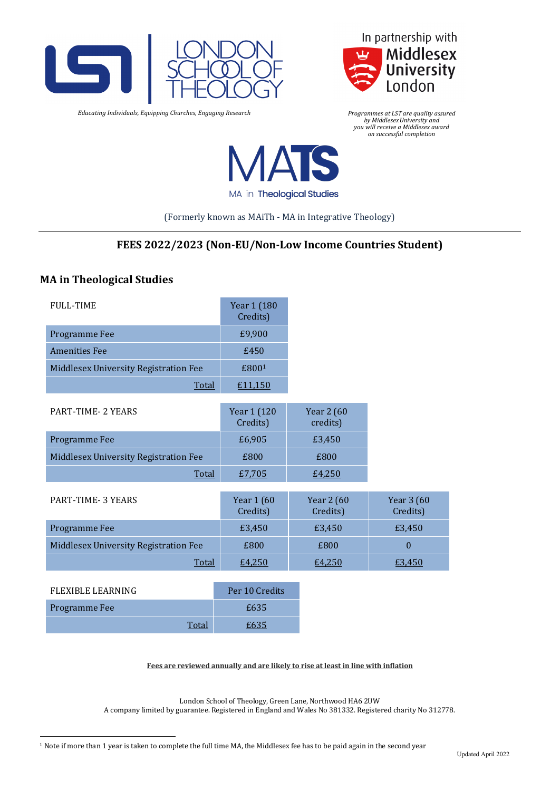



*Educating Individuals, Equipping Churches, Engaging Research*

*Programmes at LST are quality assured by MiddlesexUniversity and you will receive a Middlesex award on successful completion*



MA in Theological Studies

(Formerly known as MAiTh - MA in Integrative Theology)

# **FEES 2022/2023 (Non-EU/Non-Low Income Countries Student)**

## **MA in Theological Studies**

| <b>FULL-TIME</b>                      | Year 1 (180<br>Credits) |                        |                        |
|---------------------------------------|-------------------------|------------------------|------------------------|
| Programme Fee                         | £9,900                  |                        |                        |
| <b>Amenities Fee</b>                  | £450                    |                        |                        |
| Middlesex University Registration Fee | £800 <sup>1</sup>       |                        |                        |
| Total                                 | £11,150                 |                        |                        |
| <b>PART-TIME- 2 YEARS</b>             | Year 1 (120<br>Credits) | Year 2 (60<br>credits) |                        |
| Programme Fee                         | £6,905                  | £3,450                 |                        |
| Middlesex University Registration Fee | £800                    | £800                   |                        |
| Total                                 | £7,705                  | £4,250                 |                        |
| <b>PART-TIME- 3 YEARS</b>             | Year 1 (60<br>Credits)  | Year 2 (60<br>Credits) | Year 3 (60<br>Credits) |
| Programme Fee                         | £3,450                  | £3,450                 | £3,450                 |
| Middlesex University Registration Fee | £800                    | £800                   | $\theta$               |
| <b>Total</b>                          | £4,250                  | £4,250                 | £3,450                 |
|                                       |                         |                        |                        |

| FLEXIBLE LEARNING | Per 10 Credits |
|-------------------|----------------|
| Programme Fee     | £635           |
|                   | £635           |

### **Fees are reviewed annually and are likely to rise at least in line with inflation**

London School of Theology, Green Lane, Northwood HA6 2UW

A company limited by guarantee. Registered in England and Wales No 381332. Registered charity No 312778.

<span id="page-0-0"></span><sup>1</sup> Note if more than 1 year is taken to complete the full time MA, the Middlesex fee has to be paid again in the second year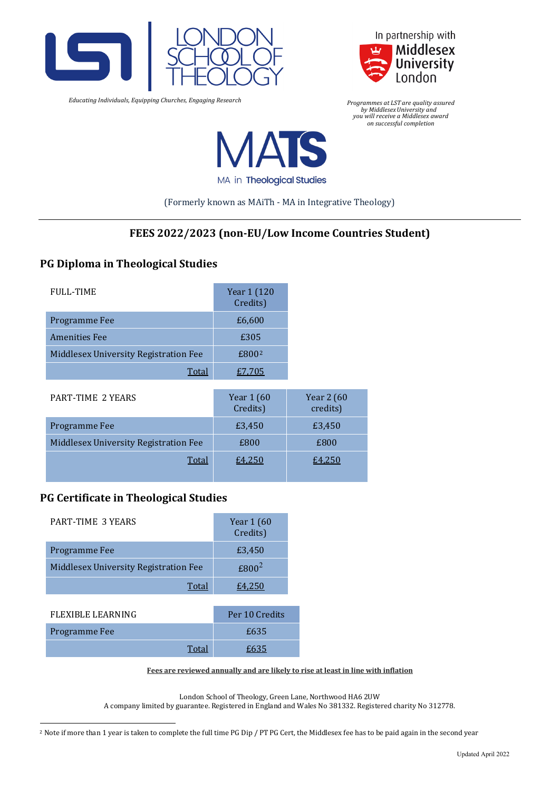

 *Educating Individuals, Equipping Churches, Engaging Research*



*Programmes at LST are quality assured by MiddlesexUniversity and you will receive a Middlesex award on successful completion*



MA in Theological Studies

(Formerly known as MAiTh - MA in Integrative Theology)

# **FEES 2022/2023 (non-EU/Low Income Countries Student)**

## **PG Diploma in Theological Studies**

| <b>FULL-TIME</b>                      | Year 1 (120<br>Credits) |                                |
|---------------------------------------|-------------------------|--------------------------------|
| Programme Fee                         | £6,600                  |                                |
| <b>Amenities Fee</b>                  | £305                    |                                |
| Middlesex University Registration Fee | £800 <sup>2</sup>       |                                |
| <b>Total</b>                          | £7,705                  |                                |
| <b>PART-TIME 2 YEARS</b>              | Year 1 (60<br>Credits)  | <b>Year 2 (60)</b><br>credits) |
| Programme Fee                         | £3,450                  | £3,450                         |
| Middlesex University Registration Fee | £800                    | £800                           |
| Total                                 | £4.250                  | £4.250                         |

## **PG Certificate in Theological Studies**

| <b>PART-TIME 3 YEARS</b>              | Year 1 (60<br>Credits) |
|---------------------------------------|------------------------|
| Programme Fee                         | £3,450                 |
| Middlesex University Registration Fee | $£800^2$               |
| Total                                 | £4,250                 |
|                                       |                        |
| <b>FLEXIBLE LEARNING</b>              | Per 10 Credits         |
| Programme Fee                         | £635                   |
| Total                                 | £635                   |

#### **Fees are reviewed annually and are likely to rise at least in line with inflation**

London School of Theology, Green Lane, Northwood HA6 2UW

A company limited by guarantee. Registered in England and Wales No 381332. Registered charity No 312778.

<span id="page-1-0"></span><sup>&</sup>lt;sup>2</sup> Note if more than 1 year is taken to complete the full time PG Dip / PT PG Cert, the Middlesex fee has to be paid again in the second year